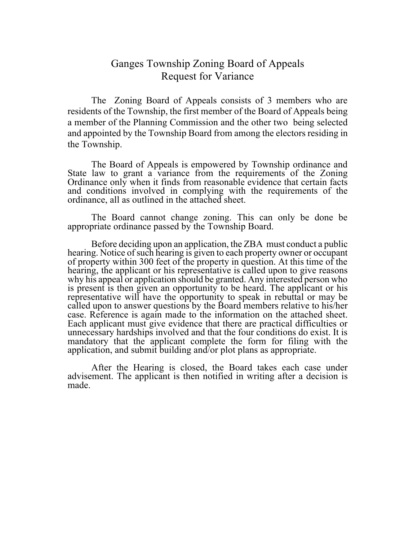## Ganges Township Zoning Board of Appeals Request for Variance

The Zoning Board of Appeals consists of 3 members who are residents of the Township, the first member of the Board of Appeals being a member of the Planning Commission and the other two being selected and appointed by the Township Board from among the electors residing in the Township.

The Board of Appeals is empowered by Township ordinance and State law to grant a variance from the requirements of the Zoning Ordinance only when it finds from reasonable evidence that certain facts and conditions involved in complying with the requirements of the ordinance, all as outlined in the attached sheet.

The Board cannot change zoning. This can only be done be appropriate ordinance passed by the Township Board.

Before deciding upon an application, the ZBA must conduct a public hearing. Notice of such hearing is given to each property owner or occupant of property within 300 feet of the property in question. At this time of the hearing, the applicant or his representative is called upon to give reasons why his appeal or application should be granted. Any interested person who is present is then given an opportunity to be heard. The applicant or his representative will have the opportunity to speak in rebuttal or may be called upon to answer questions by the Board members relative to his/her case. Reference is again made to the information on the attached sheet. Each applicant must give evidence that there are practical difficulties or unnecessary hardships involved and that the four conditions do exist. It is mandatory that the applicant complete the form for filing with the application, and submit building and/or plot plans as appropriate.

After the Hearing is closed, the Board takes each case under advisement. The applicant is then notified in writing after a decision is made.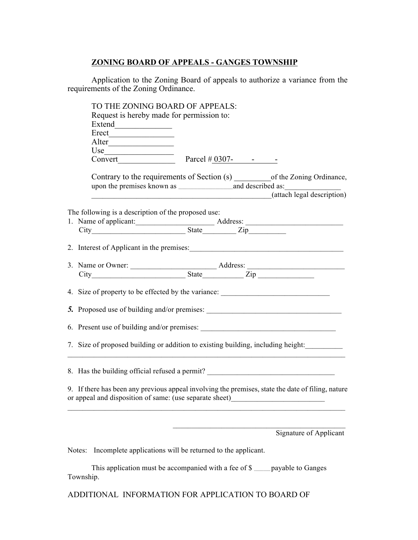## **ZONING BOARD OF APPEALS - GANGES TOWNSHIP**

Application to the Zoning Board of appeals to authorize a variance from the requirements of the Zoning Ordinance.

|  | TO THE ZONING BOARD OF APPEALS:                                                                                                                                                       |                                             |  |                            |  |
|--|---------------------------------------------------------------------------------------------------------------------------------------------------------------------------------------|---------------------------------------------|--|----------------------------|--|
|  | Request is hereby made for permission to:                                                                                                                                             |                                             |  |                            |  |
|  |                                                                                                                                                                                       |                                             |  |                            |  |
|  |                                                                                                                                                                                       |                                             |  |                            |  |
|  |                                                                                                                                                                                       |                                             |  |                            |  |
|  |                                                                                                                                                                                       |                                             |  |                            |  |
|  | Convert Parcel $\#$ 0307- - -                                                                                                                                                         |                                             |  |                            |  |
|  | Contrary to the requirements of Section (s) ___________ of the Zoning Ordinance,                                                                                                      |                                             |  |                            |  |
|  |                                                                                                                                                                                       |                                             |  |                            |  |
|  |                                                                                                                                                                                       |                                             |  | (attach legal description) |  |
|  |                                                                                                                                                                                       |                                             |  |                            |  |
|  | The following is a description of the proposed use:                                                                                                                                   |                                             |  |                            |  |
|  | 1. Name of applicant: <u>Address:</u> Address:                                                                                                                                        |                                             |  |                            |  |
|  |                                                                                                                                                                                       |                                             |  |                            |  |
|  |                                                                                                                                                                                       |                                             |  |                            |  |
|  |                                                                                                                                                                                       |                                             |  |                            |  |
|  |                                                                                                                                                                                       |                                             |  |                            |  |
|  |                                                                                                                                                                                       |                                             |  |                            |  |
|  | 4. Size of property to be effected by the variance: ____________________________                                                                                                      |                                             |  |                            |  |
|  | 5. Proposed use of building and/or premises:                                                                                                                                          |                                             |  |                            |  |
|  |                                                                                                                                                                                       | 6. Present use of building and/or premises: |  |                            |  |
|  | 7. Size of proposed building or addition to existing building, including height:                                                                                                      |                                             |  |                            |  |
|  | 8. Has the building official refused a permit? _________________________________                                                                                                      |                                             |  |                            |  |
|  | 9. If there has been any previous appeal involving the premises, state the date of filing, nature<br>or appeal and disposition of same: (use separate sheet) ________________________ |                                             |  |                            |  |
|  |                                                                                                                                                                                       |                                             |  |                            |  |
|  |                                                                                                                                                                                       |                                             |  | Signature of Applicant     |  |
|  | Incomplete applications will be returned to the applicant.<br>Notes:                                                                                                                  |                                             |  |                            |  |
|  |                                                                                                                                                                                       |                                             |  |                            |  |
|  | This application must be accompanied with a fee of \$                                                                                                                                 |                                             |  | payable to Ganges          |  |

ADDITIONAL INFORMATION FOR APPLICATION TO BOARD OF

Township.